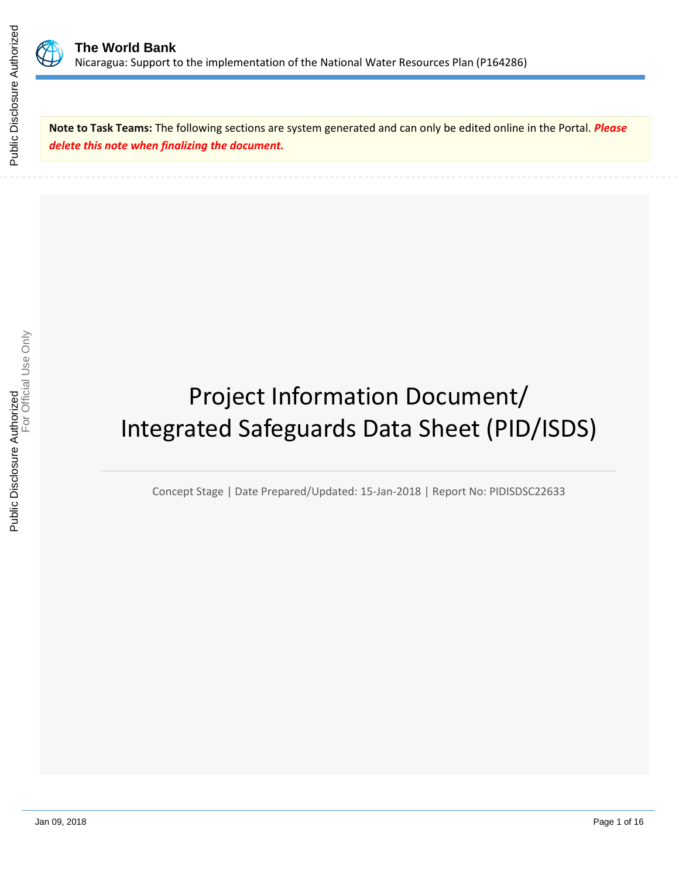



**Note to Task Teams:** The following sections are system generated and can only be edited online in the Portal. *Please delete this note when finalizing the document.*

# Project Information Document/ Integrated Safeguards Data Sheet (PID/ISDS)

Concept Stage | Date Prepared/Updated: 15-Jan-2018 | Report No: PIDISDSC22633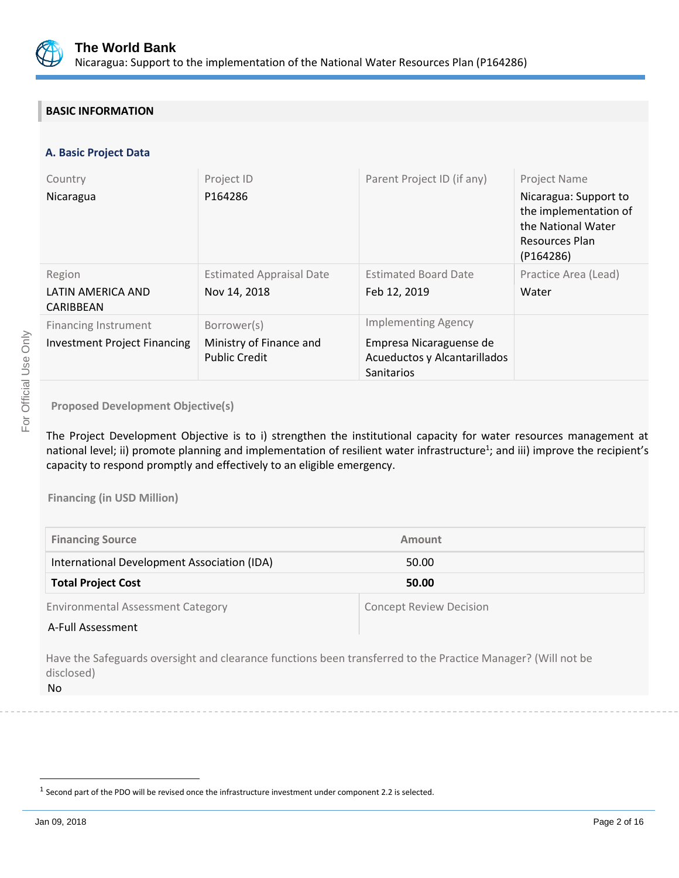

## **BASIC INFORMATION**

## **A. Basic Project Data**

| Country<br>Nicaragua                                        | Project ID<br>P164286                                          | Parent Project ID (if any)                                                                          | <b>Project Name</b><br>Nicaragua: Support to<br>the implementation of<br>the National Water<br>Resources Plan<br>(P164286) |
|-------------------------------------------------------------|----------------------------------------------------------------|-----------------------------------------------------------------------------------------------------|----------------------------------------------------------------------------------------------------------------------------|
| Region<br>LATIN AMERICA AND<br>CARIBBEAN                    | <b>Estimated Appraisal Date</b><br>Nov 14, 2018                | <b>Estimated Board Date</b><br>Feb 12, 2019                                                         | Practice Area (Lead)<br>Water                                                                                              |
| Financing Instrument<br><b>Investment Project Financing</b> | Borrower(s)<br>Ministry of Finance and<br><b>Public Credit</b> | <b>Implementing Agency</b><br>Empresa Nicaraguense de<br>Acueductos y Alcantarillados<br>Sanitarios |                                                                                                                            |

**Proposed Development Objective(s)** 

The Project Development Objective is to i) strengthen the institutional capacity for water resources management at national level; ii) promote planning and implementation of resilient water infrastructure<sup>1</sup>; and iii) improve the recipient's capacity to respond promptly and effectively to an eligible emergency.

**Financing (in USD Million)**

| <b>Financing Source</b>                     | Amount                         |
|---------------------------------------------|--------------------------------|
| International Development Association (IDA) | 50.00                          |
| <b>Total Project Cost</b>                   | 50.00                          |
| <b>Environmental Assessment Category</b>    | <b>Concept Review Decision</b> |
| A-Full Assessment                           |                                |

Have the Safeguards oversight and clearance functions been transferred to the Practice Manager? (Will not be disclosed)

No

 $<sup>1</sup>$  Second part of the PDO will be revised once the infrastructure investment under component 2.2 is selected.</sup>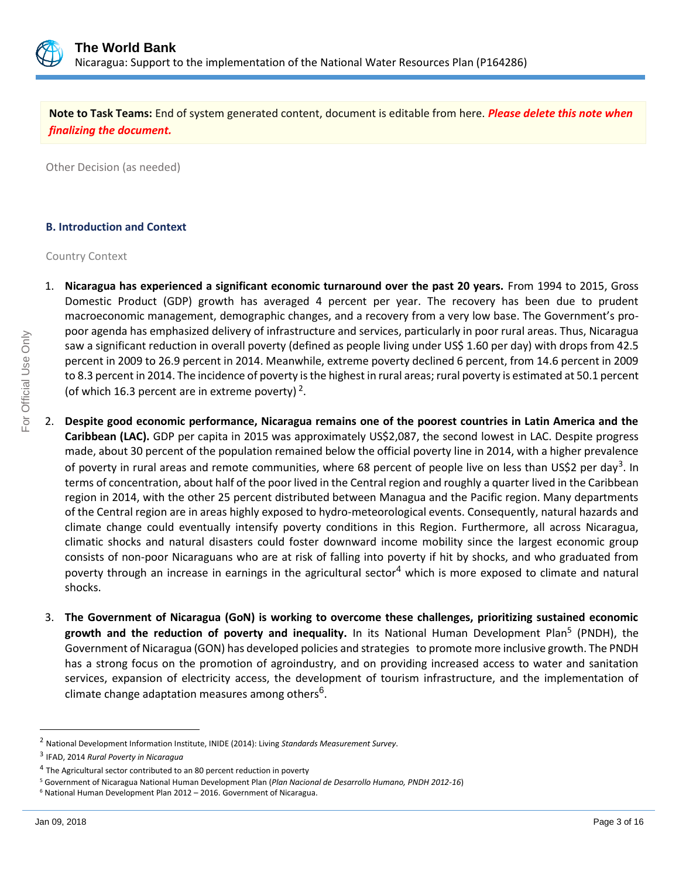

**Note to Task Teams:** End of system generated content, document is editable from here. *Please delete this note when finalizing the document.*

Other Decision (as needed)

## **B. Introduction and Context**

## Country Context

- 1. **Nicaragua has experienced a significant economic turnaround over the past 20 years.** From 1994 to 2015, Gross Domestic Product (GDP) growth has averaged 4 percent per year. The recovery has been due to prudent macroeconomic management, demographic changes, and a recovery from a very low base. The Government's propoor agenda has emphasized delivery of infrastructure and services, particularly in poor rural areas. Thus, Nicaragua saw a significant reduction in overall poverty (defined as people living under US\$ 1.60 per day) with drops from 42.5 percent in 2009 to 26.9 percent in 2014. Meanwhile, extreme poverty declined 6 percent, from 14.6 percent in 2009 to 8.3 percent in 2014. The incidence of poverty is the highest in rural areas; rural poverty is estimated at 50.1 percent (of which 16.3 percent are in extreme poverty)<sup>2</sup>.
- 2. **Despite good economic performance, Nicaragua remains one of the poorest countries in Latin America and the Caribbean (LAC).** GDP per capita in 2015 was approximately US\$2,087, the second lowest in LAC. Despite progress made, about 30 percent of the population remained below the official poverty line in 2014, with a higher prevalence of poverty in rural areas and remote communities, where 68 percent of people live on less than US\$2 per day<sup>3</sup>. In terms of concentration, about half of the poor lived in the Central region and roughly a quarter lived in the Caribbean region in 2014, with the other 25 percent distributed between Managua and the Pacific region. Many departments of the Central region are in areas highly exposed to hydro-meteorological events. Consequently, natural hazards and climate change could eventually intensify poverty conditions in this Region. Furthermore, all across Nicaragua, climatic shocks and natural disasters could foster downward income mobility since the largest economic group consists of non-poor Nicaraguans who are at risk of falling into poverty if hit by shocks, and who graduated from poverty through an increase in earnings in the agricultural sector<sup>4</sup> which is more exposed to climate and natural shocks.
- 3. **The Government of Nicaragua (GoN) is working to overcome these challenges, prioritizing sustained economic**  growth and the reduction of poverty and inequality. In its National Human Development Plan<sup>5</sup> (PNDH), the Government of Nicaragua (GON) has developed policies and strategies to promote more inclusive growth. The PNDH has a strong focus on the promotion of agroindustry, and on providing increased access to water and sanitation services, expansion of electricity access, the development of tourism infrastructure, and the implementation of climate change adaptation measures among others<sup>6</sup>.

<sup>2</sup> National Development Information Institute, INIDE (2014): Living *Standards Measurement Survey*.

<sup>3</sup> IFAD, 2014 *Rural Poverty in Nicaragua*

<sup>&</sup>lt;sup>4</sup> The Agricultural sector contributed to an 80 percent reduction in poverty

<sup>5</sup> Government of Nicaragua National Human Development Plan (*Plan Nacional de Desarrollo Humano, PNDH 2012-16*)

<sup>6</sup> National Human Development Plan 2012 – 2016. Government of Nicaragua.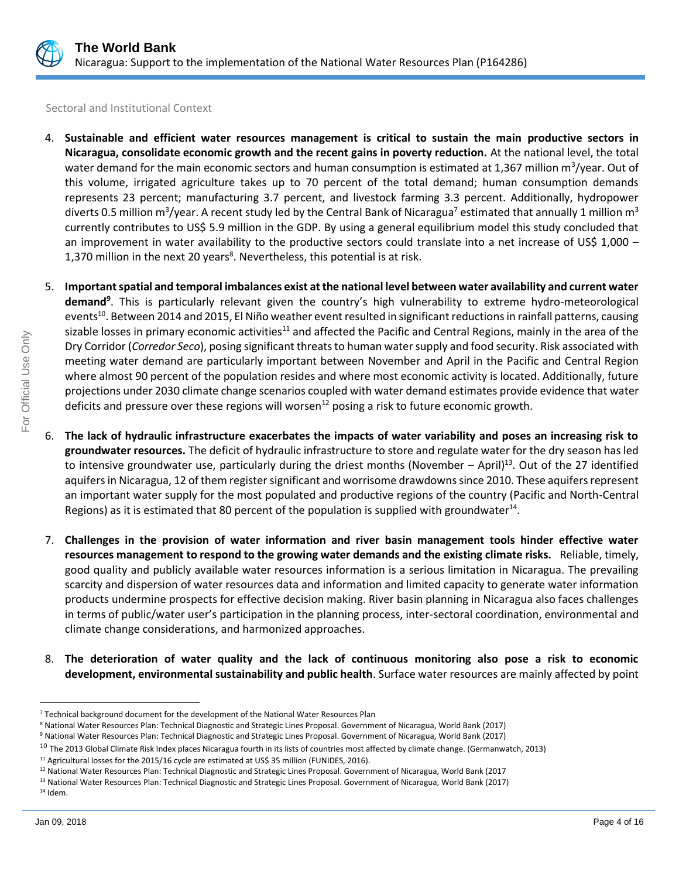

Sectoral and Institutional Context

- 4. **Sustainable and efficient water resources management is critical to sustain the main productive sectors in Nicaragua, consolidate economic growth and the recent gains in poverty reduction.** At the national level, the total water demand for the main economic sectors and human consumption is estimated at 1,367 million m<sup>3</sup>/year. Out of this volume, irrigated agriculture takes up to 70 percent of the total demand; human consumption demands represents 23 percent; manufacturing 3.7 percent, and livestock farming 3.3 percent. Additionally, hydropower diverts 0.5 million m<sup>3</sup>/year. A recent study led by the Central Bank of Nicaragua<sup>7</sup> estimated that annually 1 million m<sup>3</sup> currently contributes to US\$ 5.9 million in the GDP. By using a general equilibrium model this study concluded that an improvement in water availability to the productive sectors could translate into a net increase of US\$ 1,000  $-$ 1,370 million in the next 20 years<sup>8</sup>. Nevertheless, this potential is at risk.
- 5. **Important spatial and temporal imbalances exist at the national level between water availability and current water demand<sup>9</sup>** . This is particularly relevant given the country's high vulnerability to extreme hydro-meteorological events<sup>10</sup>. Between 2014 and 2015, El Niño weather event resulted in significant reductions in rainfall patterns, causing sizable losses in primary economic activities<sup>11</sup> and affected the Pacific and Central Regions, mainly in the area of the Dry Corridor (*Corredor Seco*), posing significant threats to human water supply and food security. Risk associated with meeting water demand are particularly important between November and April in the Pacific and Central Region where almost 90 percent of the population resides and where most economic activity is located. Additionally, future projections under 2030 climate change scenarios coupled with water demand estimates provide evidence that water deficits and pressure over these regions will worsen<sup>12</sup> posing a risk to future economic growth.
- 6. **The lack of hydraulic infrastructure exacerbates the impacts of water variability and poses an increasing risk to groundwater resources.** The deficit of hydraulic infrastructure to store and regulate water for the dry season has led to intensive groundwater use, particularly during the driest months (November  $-$  April)<sup>13</sup>. Out of the 27 identified aquifers in Nicaragua, 12 of them register significant and worrisome drawdowns since 2010. These aquifers represent an important water supply for the most populated and productive regions of the country (Pacific and North-Central Regions) as it is estimated that 80 percent of the population is supplied with groundwater<sup>14</sup>.
- 7. **Challenges in the provision of water information and river basin management tools hinder effective water resources management to respond to the growing water demands and the existing climate risks.** Reliable, timely, good quality and publicly available water resources information is a serious limitation in Nicaragua. The prevailing scarcity and dispersion of water resources data and information and limited capacity to generate water information products undermine prospects for effective decision making. River basin planning in Nicaragua also faces challenges in terms of public/water user's participation in the planning process, inter-sectoral coordination, environmental and climate change considerations, and harmonized approaches.
- 8. **The deterioration of water quality and the lack of continuous monitoring also pose a risk to economic development, environmental sustainability and public health**. Surface water resources are mainly affected by point

<sup>7</sup> Technical background document for the development of the National Water Resources Plan

<sup>8</sup> National Water Resources Plan: Technical Diagnostic and Strategic Lines Proposal. Government of Nicaragua, World Bank (2017)

<sup>9</sup> National Water Resources Plan: Technical Diagnostic and Strategic Lines Proposal. Government of Nicaragua, World Bank (2017)

<sup>&</sup>lt;sup>10</sup> The 2013 Global Climate Risk Index places Nicaragua fourth in its lists of countries most affected by climate change. (Germanwatch, 2013)

<sup>&</sup>lt;sup>11</sup> Agricultural losses for the 2015/16 cycle are estimated at US\$ 35 million (FUNIDES, 2016).

<sup>12</sup> National Water Resources Plan: Technical Diagnostic and Strategic Lines Proposal. Government of Nicaragua, World Bank (2017

<sup>13</sup> National Water Resources Plan: Technical Diagnostic and Strategic Lines Proposal. Government of Nicaragua, World Bank (2017)

<sup>14</sup> Idem.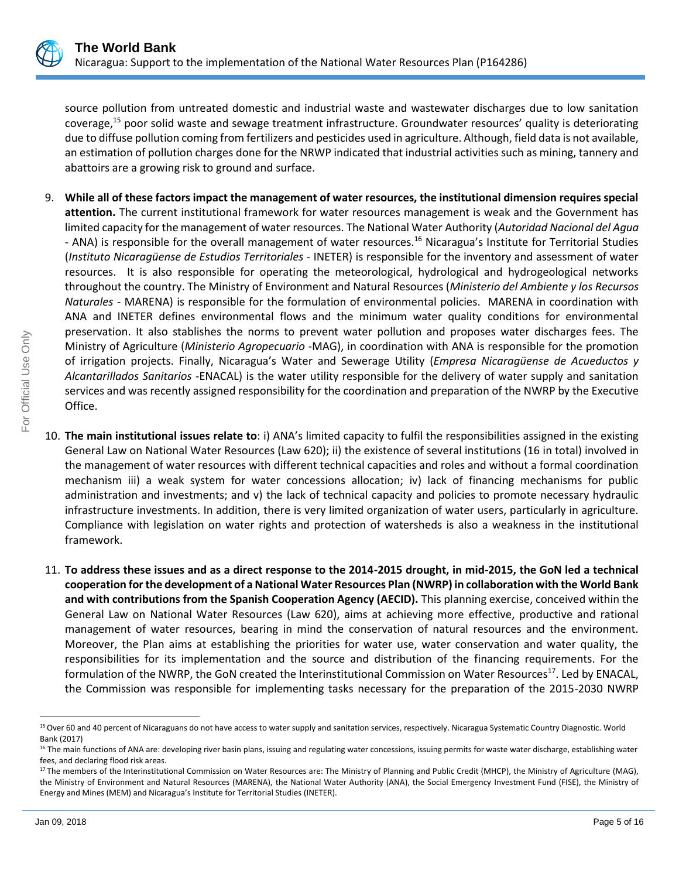

source pollution from untreated domestic and industrial waste and wastewater discharges due to low sanitation coverage,<sup>15</sup> poor solid waste and sewage treatment infrastructure. Groundwater resources' quality is deteriorating due to diffuse pollution coming from fertilizers and pesticides used in agriculture. Although, field data is not available, an estimation of pollution charges done for the NRWP indicated that industrial activities such as mining, tannery and abattoirs are a growing risk to ground and surface.

- 9. **While all of these factors impact the management of water resources, the institutional dimension requires special attention.** The current institutional framework for water resources management is weak and the Government has limited capacity for the management of water resources. The National Water Authority (*Autoridad Nacional del Agua* - ANA) is responsible for the overall management of water resources.<sup>16</sup> Nicaragua's Institute for Territorial Studies (*Instituto Nicaragüense de Estudios Territoriales* - INETER) is responsible for the inventory and assessment of water resources. It is also responsible for operating the meteorological, hydrological and hydrogeological networks throughout the country. The Ministry of Environment and Natural Resources (*Ministerio del Ambiente y los Recursos Naturales* - MARENA) is responsible for the formulation of environmental policies. MARENA in coordination with ANA and INETER defines environmental flows and the minimum water quality conditions for environmental preservation. It also stablishes the norms to prevent water pollution and proposes water discharges fees. The Ministry of Agriculture (*Ministerio Agropecuario* -MAG), in coordination with ANA is responsible for the promotion of irrigation projects. Finally, Nicaragua's Water and Sewerage Utility (*Empresa Nicaragüense de Acueductos y Alcantarillados Sanitarios* -ENACAL) is the water utility responsible for the delivery of water supply and sanitation services and was recently assigned responsibility for the coordination and preparation of the NWRP by the Executive Office.
- 10. **The main institutional issues relate to**: i) ANA's limited capacity to fulfil the responsibilities assigned in the existing General Law on National Water Resources (Law 620); ii) the existence of several institutions (16 in total) involved in the management of water resources with different technical capacities and roles and without a formal coordination mechanism iii) a weak system for water concessions allocation; iv) lack of financing mechanisms for public administration and investments; and v) the lack of technical capacity and policies to promote necessary hydraulic infrastructure investments. In addition, there is very limited organization of water users, particularly in agriculture. Compliance with legislation on water rights and protection of watersheds is also a weakness in the institutional framework.
- 11. **To address these issues and as a direct response to the 2014-2015 drought, in mid-2015, the GoN led a technical cooperation for the development of a National Water Resources Plan (NWRP) in collaboration with the World Bank and with contributions from the Spanish Cooperation Agency (AECID).** This planning exercise, conceived within the General Law on National Water Resources (Law 620), aims at achieving more effective, productive and rational management of water resources, bearing in mind the conservation of natural resources and the environment. Moreover, the Plan aims at establishing the priorities for water use, water conservation and water quality, the responsibilities for its implementation and the source and distribution of the financing requirements. For the formulation of the NWRP, the GoN created the Interinstitutional Commission on Water Resources<sup>17</sup>. Led by ENACAL, the Commission was responsible for implementing tasks necessary for the preparation of the 2015-2030 NWRP

<sup>&</sup>lt;sup>15</sup> Over 60 and 40 percent of Nicaraguans do not have access to water supply and sanitation services, respectively. Nicaragua Systematic Country Diagnostic. World Bank (2017)

<sup>&</sup>lt;sup>16</sup> The main functions of ANA are: developing river basin plans, issuing and regulating water concessions, issuing permits for waste water discharge, establishing water fees, and declaring flood risk areas.

<sup>&</sup>lt;sup>17</sup> The members of the Interinstitutional Commission on Water Resources are: The Ministry of Planning and Public Credit (MHCP), the Ministry of Agriculture (MAG), the Ministry of Environment and Natural Resources (MARENA), the National Water Authority (ANA), the Social Emergency Investment Fund (FISE), the Ministry of Energy and Mines (MEM) and Nicaragua's Institute for Territorial Studies (INETER).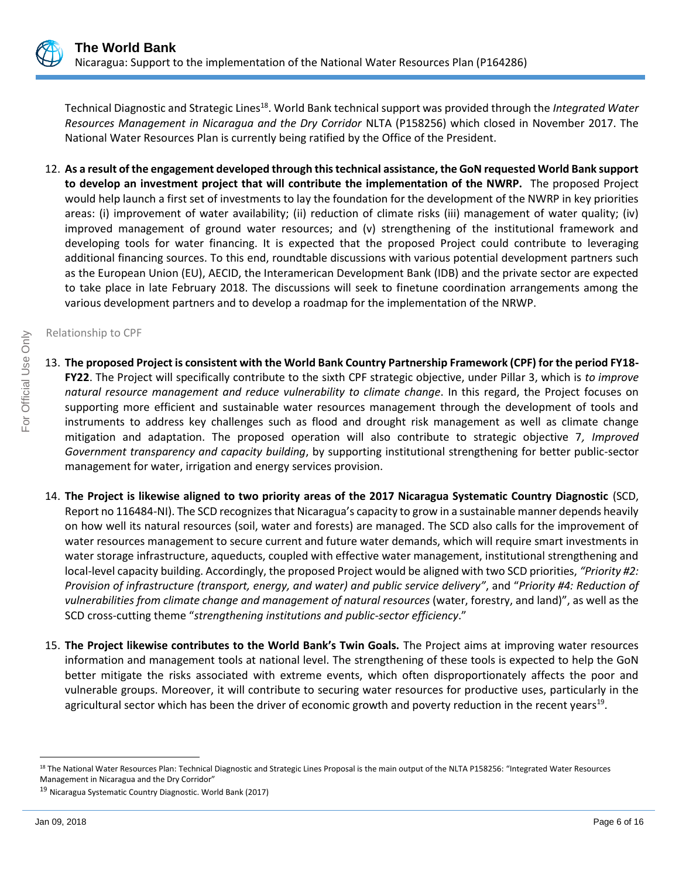

Technical Diagnostic and Strategic Lines<sup>18</sup>. World Bank technical support was provided through the *Integrated Water Resources Management in Nicaragua and the Dry Corridor* NLTA (P158256) which closed in November 2017. The National Water Resources Plan is currently being ratified by the Office of the President.

12. **As a result of the engagement developed through this technical assistance, the GoN requested World Bank support to develop an investment project that will contribute the implementation of the NWRP.** The proposed Project would help launch a first set of investments to lay the foundation for the development of the NWRP in key priorities areas: (i) improvement of water availability; (ii) reduction of climate risks (iii) management of water quality; (iv) improved management of ground water resources; and (v) strengthening of the institutional framework and developing tools for water financing. It is expected that the proposed Project could contribute to leveraging additional financing sources. To this end, roundtable discussions with various potential development partners such as the European Union (EU), AECID, the Interamerican Development Bank (IDB) and the private sector are expected to take place in late February 2018. The discussions will seek to finetune coordination arrangements among the various development partners and to develop a roadmap for the implementation of the NRWP.

## Relationship to CPF

- 13. **The proposed Project is consistent with the World Bank Country Partnership Framework (CPF) for the period FY18- FY22**. The Project will specifically contribute to the sixth CPF strategic objective, under Pillar 3, which is *to improve natural resource management and reduce vulnerability to climate change*. In this regard, the Project focuses on supporting more efficient and sustainable water resources management through the development of tools and instruments to address key challenges such as flood and drought risk management as well as climate change mitigation and adaptation. The proposed operation will also contribute to strategic objective 7*, Improved Government transparency and capacity building*, by supporting institutional strengthening for better public-sector management for water, irrigation and energy services provision.
- 14. **The Project is likewise aligned to two priority areas of the 2017 Nicaragua Systematic Country Diagnostic** (SCD, Report no 116484-NI). The SCD recognizes that Nicaragua's capacity to grow in a sustainable manner depends heavily on how well its natural resources (soil, water and forests) are managed. The SCD also calls for the improvement of water resources management to secure current and future water demands, which will require smart investments in water storage infrastructure, aqueducts, coupled with effective water management, institutional strengthening and local-level capacity building. Accordingly, the proposed Project would be aligned with two SCD priorities, *"Priority #2: Provision of infrastructure (transport, energy, and water) and public service delivery"*, and "*Priority #4: Reduction of vulnerabilities from climate change and management of natural resources* (water, forestry, and land)", as well as the SCD cross-cutting theme "*strengthening institutions and public-sector efficiency*."
- 15. **The Project likewise contributes to the World Bank's Twin Goals.** The Project aims at improving water resources information and management tools at national level. The strengthening of these tools is expected to help the GoN better mitigate the risks associated with extreme events, which often disproportionately affects the poor and vulnerable groups. Moreover, it will contribute to securing water resources for productive uses, particularly in the agricultural sector which has been the driver of economic growth and poverty reduction in the recent years<sup>19</sup>.

<sup>&</sup>lt;sup>18</sup> The National Water Resources Plan: Technical Diagnostic and Strategic Lines Proposal is the main output of the NLTA P158256: "Integrated Water Resources Management in Nicaragua and the Dry Corridor"

<sup>19</sup> Nicaragua Systematic Country Diagnostic. World Bank (2017)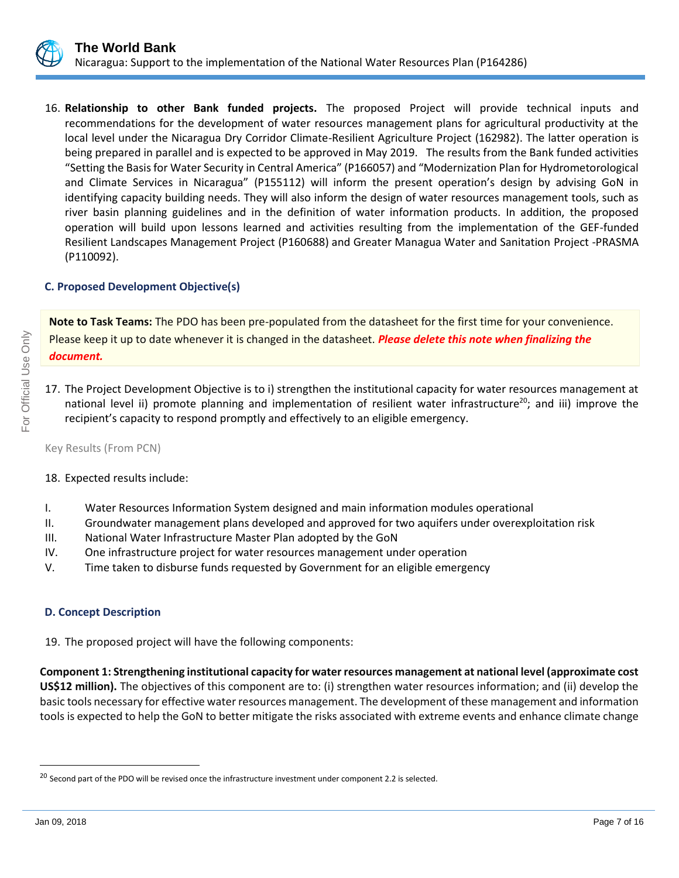

16. **Relationship to other Bank funded projects.** The proposed Project will provide technical inputs and recommendations for the development of water resources management plans for agricultural productivity at the local level under the Nicaragua Dry Corridor Climate-Resilient Agriculture Project (162982). The latter operation is being prepared in parallel and is expected to be approved in May 2019. The results from the Bank funded activities "Setting the Basis for Water Security in Central America" (P166057) and "Modernization Plan for Hydrometorological and Climate Services in Nicaragua" (P155112) will inform the present operation's design by advising GoN in identifying capacity building needs. They will also inform the design of water resources management tools, such as river basin planning guidelines and in the definition of water information products. In addition, the proposed operation will build upon lessons learned and activities resulting from the implementation of the GEF-funded Resilient Landscapes Management Project (P160688) and Greater Managua Water and Sanitation Project -PRASMA (P110092).

## **C. Proposed Development Objective(s)**

**Note to Task Teams:** The PDO has been pre-populated from the datasheet for the first time for your convenience. Please keep it up to date whenever it is changed in the datasheet. *Please delete this note when finalizing the document.*

17. The Project Development Objective is to i) strengthen the institutional capacity for water resources management at national level ii) promote planning and implementation of resilient water infrastructure<sup>20</sup>; and iii) improve the recipient's capacity to respond promptly and effectively to an eligible emergency.

Key Results (From PCN)

#### 18. Expected results include:

- I. Water Resources Information System designed and main information modules operational
- II. Groundwater management plans developed and approved for two aquifers under overexploitation risk
- III. National Water Infrastructure Master Plan adopted by the GoN
- IV. One infrastructure project for water resources management under operation
- V. Time taken to disburse funds requested by Government for an eligible emergency

#### **D. Concept Description**

19. The proposed project will have the following components:

**Component 1: Strengthening institutional capacity for water resources management at national level (approximate cost US\$12 million).** The objectives of this component are to: (i) strengthen water resources information; and (ii) develop the basic tools necessary for effective water resources management. The development of these management and information tools is expected to help the GoN to better mitigate the risks associated with extreme events and enhance climate change

<sup>&</sup>lt;sup>20</sup> Second part of the PDO will be revised once the infrastructure investment under component 2.2 is selected.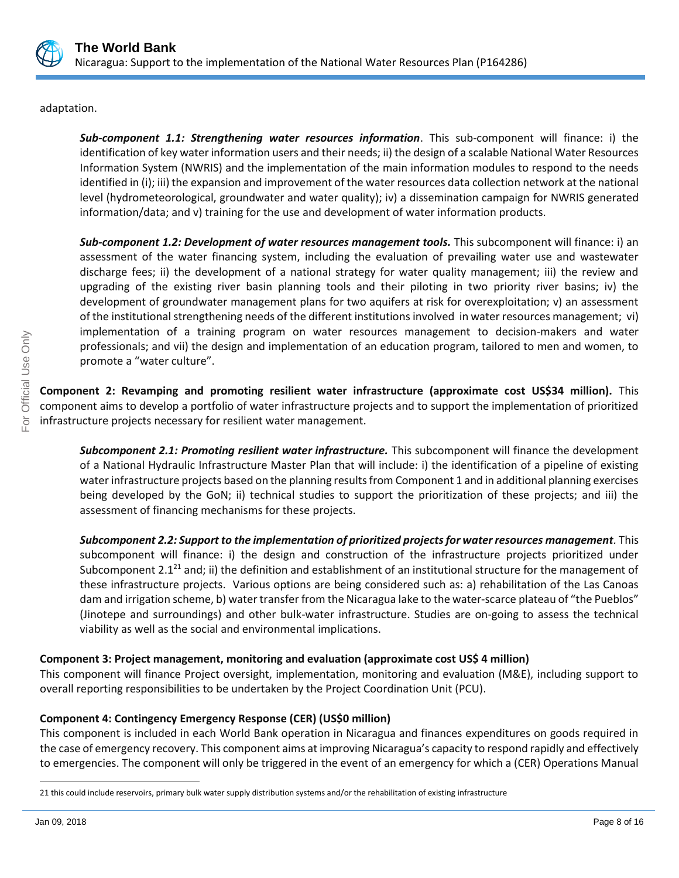

## adaptation.

*Sub-component 1.1: Strengthening water resources information*. This sub-component will finance: i) the identification of key water information users and their needs; ii) the design of a scalable National Water Resources Information System (NWRIS) and the implementation of the main information modules to respond to the needs identified in (i); iii) the expansion and improvement of the water resources data collection network at the national level (hydrometeorological, groundwater and water quality); iv) a dissemination campaign for NWRIS generated information/data; and v) training for the use and development of water information products.

*Sub-component 1.2: Development of water resources management tools.* This subcomponent will finance: i) an assessment of the water financing system, including the evaluation of prevailing water use and wastewater discharge fees; ii) the development of a national strategy for water quality management; iii) the review and upgrading of the existing river basin planning tools and their piloting in two priority river basins; iv) the development of groundwater management plans for two aquifers at risk for overexploitation; v) an assessment of the institutional strengthening needs of the different institutions involved in water resources management; vi) implementation of a training program on water resources management to decision-makers and water professionals; and vii) the design and implementation of an education program, tailored to men and women, to promote a "water culture".

**Component 2: Revamping and promoting resilient water infrastructure (approximate cost US\$34 million).** This component aims to develop a portfolio of water infrastructure projects and to support the implementation of prioritized infrastructure projects necessary for resilient water management.

*Subcomponent 2.1: Promoting resilient water infrastructure.* This subcomponent will finance the development of a National Hydraulic Infrastructure Master Plan that will include: i) the identification of a pipeline of existing water infrastructure projects based on the planning results from Component 1 and in additional planning exercises being developed by the GoN; ii) technical studies to support the prioritization of these projects; and iii) the assessment of financing mechanisms for these projects.

*Subcomponent 2.2: Support to the implementation of prioritized projects for water resources management.* This subcomponent will finance: i) the design and construction of the infrastructure projects prioritized under Subcomponent 2.1 $^{21}$  and; ii) the definition and establishment of an institutional structure for the management of these infrastructure projects. Various options are being considered such as: a) rehabilitation of the Las Canoas dam and irrigation scheme, b) water transfer from the Nicaragua lake to the water-scarce plateau of "the Pueblos" (Jinotepe and surroundings) and other bulk-water infrastructure. Studies are on-going to assess the technical viability as well as the social and environmental implications.

# **Component 3: Project management, monitoring and evaluation (approximate cost US\$ 4 million)**

This component will finance Project oversight, implementation, monitoring and evaluation (M&E), including support to overall reporting responsibilities to be undertaken by the Project Coordination Unit (PCU).

# **Component 4: Contingency Emergency Response (CER) (US\$0 million)**

This component is included in each World Bank operation in Nicaragua and finances expenditures on goods required in the case of emergency recovery. This component aims at improving Nicaragua's capacity to respond rapidly and effectively to emergencies. The component will only be triggered in the event of an emergency for which a (CER) Operations Manual

<sup>21</sup> this could include reservoirs, primary bulk water supply distribution systems and/or the rehabilitation of existing infrastructure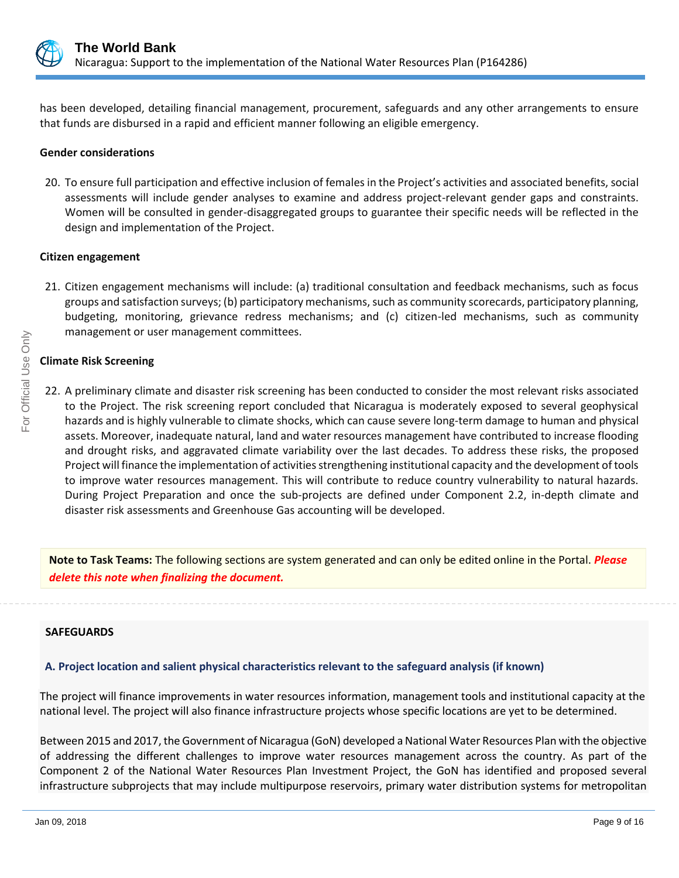

has been developed, detailing financial management, procurement, safeguards and any other arrangements to ensure that funds are disbursed in a rapid and efficient manner following an eligible emergency.

## **Gender considerations**

20. To ensure full participation and effective inclusion of females in the Project's activities and associated benefits, social assessments will include gender analyses to examine and address project-relevant gender gaps and constraints. Women will be consulted in gender-disaggregated groups to guarantee their specific needs will be reflected in the design and implementation of the Project.

#### **Citizen engagement**

21. Citizen engagement mechanisms will include: (a) traditional consultation and feedback mechanisms, such as focus groups and satisfaction surveys; (b) participatory mechanisms, such as community scorecards, participatory planning, budgeting, monitoring, grievance redress mechanisms; and (c) citizen-led mechanisms, such as community management or user management committees.

#### **Climate Risk Screening**

22. A preliminary climate and disaster risk screening has been conducted to consider the most relevant risks associated to the Project. The risk screening report concluded that Nicaragua is moderately exposed to several geophysical hazards and is highly vulnerable to climate shocks, which can cause severe long-term damage to human and physical assets. Moreover, inadequate natural, land and water resources management have contributed to increase flooding and drought risks, and aggravated climate variability over the last decades. To address these risks, the proposed Project will finance the implementation of activities strengthening institutional capacity and the development of tools to improve water resources management. This will contribute to reduce country vulnerability to natural hazards. During Project Preparation and once the sub-projects are defined under Component 2.2, in-depth climate and disaster risk assessments and Greenhouse Gas accounting will be developed.

**Note to Task Teams:** The following sections are system generated and can only be edited online in the Portal. *Please delete this note when finalizing the document.*

#### **SAFEGUARDS**

# **A. Project location and salient physical characteristics relevant to the safeguard analysis (if known)**

The project will finance improvements in water resources information, management tools and institutional capacity at the national level. The project will also finance infrastructure projects whose specific locations are yet to be determined.

Between 2015 and 2017, the Government of Nicaragua (GoN) developed a National Water Resources Plan with the objective of addressing the different challenges to improve water resources management across the country. As part of the Component 2 of the National Water Resources Plan Investment Project, the GoN has identified and proposed several infrastructure subprojects that may include multipurpose reservoirs, primary water distribution systems for metropolitan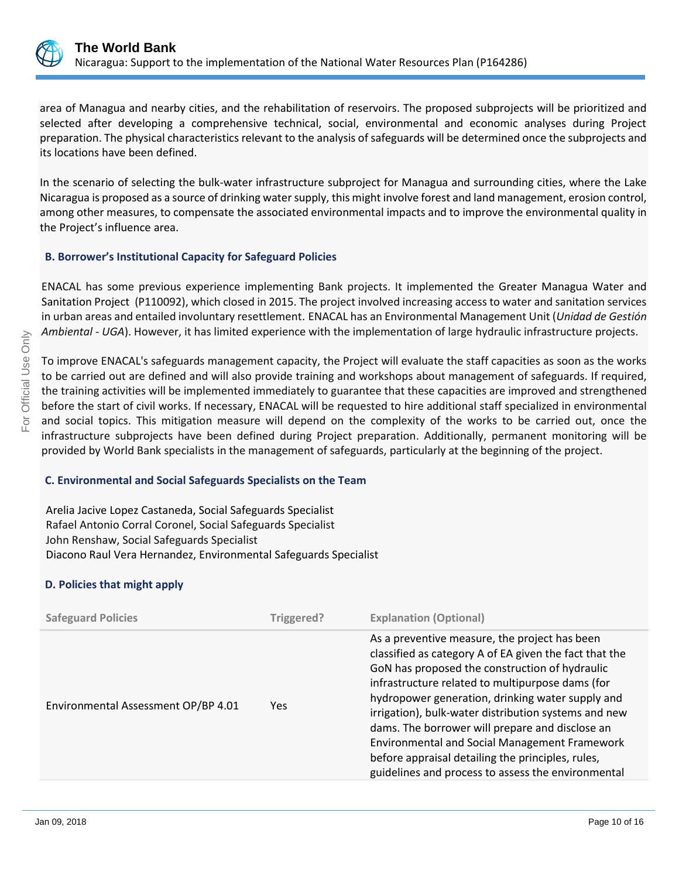

area of Managua and nearby cities, and the rehabilitation of reservoirs. The proposed subprojects will be prioritized and selected after developing a comprehensive technical, social, environmental and economic analyses during Project preparation. The physical characteristics relevant to the analysis of safeguards will be determined once the subprojects and its locations have been defined.

In the scenario of selecting the bulk-water infrastructure subproject for Managua and surrounding cities, where the Lake Nicaragua is proposed as a source of drinking water supply, this might involve forest and land management, erosion control, among other measures, to compensate the associated environmental impacts and to improve the environmental quality in the Project's influence area.

## **B. Borrower's Institutional Capacity for Safeguard Policies**

ENACAL has some previous experience implementing Bank projects. It implemented the Greater Managua Water and Sanitation Project (P110092), which closed in 2015. The project involved increasing access to water and sanitation services in urban areas and entailed involuntary resettlement. ENACAL has an Environmental Management Unit (*Unidad de Gestión Ambiental - UGA*). However, it has limited experience with the implementation of large hydraulic infrastructure projects.

To improve ENACAL's safeguards management capacity, the Project will evaluate the staff capacities as soon as the works to be carried out are defined and will also provide training and workshops about management of safeguards. If required, the training activities will be implemented immediately to guarantee that these capacities are improved and strengthened before the start of civil works. If necessary, ENACAL will be requested to hire additional staff specialized in environmental and social topics. This mitigation measure will depend on the complexity of the works to be carried out, once the infrastructure subprojects have been defined during Project preparation. Additionally, permanent monitoring will be provided by World Bank specialists in the management of safeguards, particularly at the beginning of the project.

## **C. Environmental and Social Safeguards Specialists on the Team**

Arelia Jacive Lopez Castaneda, Social Safeguards Specialist Rafael Antonio Corral Coronel, Social Safeguards Specialist John Renshaw, Social Safeguards Specialist Diacono Raul Vera Hernandez, Environmental Safeguards Specialist

## **D. Policies that might apply**

| <b>Safeguard Policies</b>           | Triggered? | <b>Explanation (Optional)</b>                                                                                                                                                                                                                                                                                                                                                                                                                                                                                                                   |
|-------------------------------------|------------|-------------------------------------------------------------------------------------------------------------------------------------------------------------------------------------------------------------------------------------------------------------------------------------------------------------------------------------------------------------------------------------------------------------------------------------------------------------------------------------------------------------------------------------------------|
| Environmental Assessment OP/BP 4.01 | Yes        | As a preventive measure, the project has been<br>classified as category A of EA given the fact that the<br>GoN has proposed the construction of hydraulic<br>infrastructure related to multipurpose dams (for<br>hydropower generation, drinking water supply and<br>irrigation), bulk-water distribution systems and new<br>dams. The borrower will prepare and disclose an<br><b>Environmental and Social Management Framework</b><br>before appraisal detailing the principles, rules,<br>guidelines and process to assess the environmental |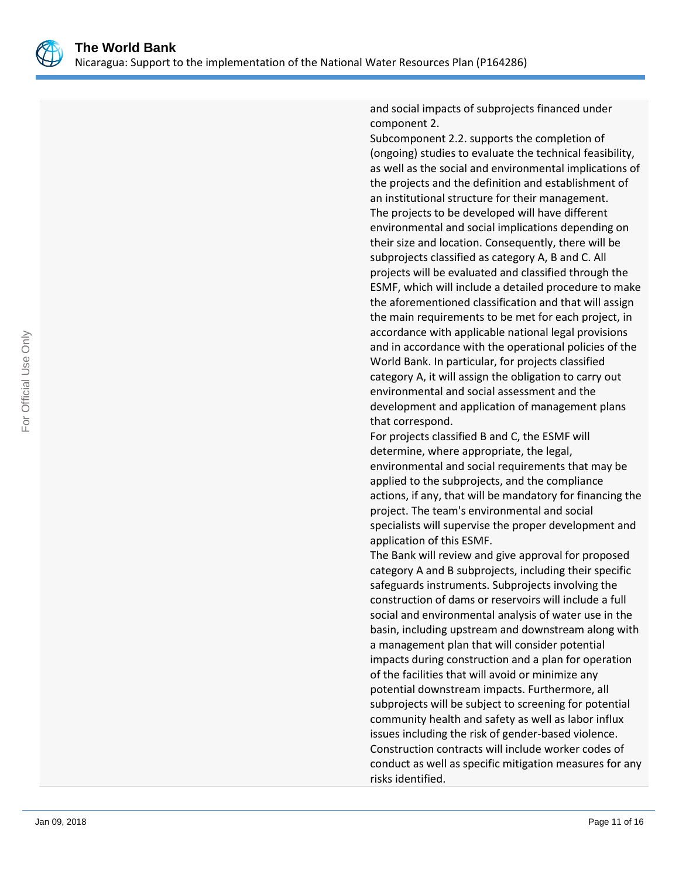

and social impacts of subprojects financed under component 2.

Subcomponent 2.2. supports the completion of (ongoing) studies to evaluate the technical feasibility, as well as the social and environmental implications of the projects and the definition and establishment of an institutional structure for their management. The projects to be developed will have different environmental and social implications depending on their size and location. Consequently, there will be subprojects classified as category A, B and C. All projects will be evaluated and classified through the ESMF, which will include a detailed procedure to make the aforementioned classification and that will assign the main requirements to be met for each project, in accordance with applicable national legal provisions and in accordance with the operational policies of the World Bank. In particular, for projects classified category A, it will assign the obligation to carry out environmental and social assessment and the development and application of management plans that correspond.

For projects classified B and C, the ESMF will determine, where appropriate, the legal, environmental and social requirements that may be applied to the subprojects, and the compliance actions, if any, that will be mandatory for financing the project. The team's environmental and social specialists will supervise the proper development and application of this ESMF.

The Bank will review and give approval for proposed category A and B subprojects, including their specific safeguards instruments. Subprojects involving the construction of dams or reservoirs will include a full social and environmental analysis of water use in the basin, including upstream and downstream along with a management plan that will consider potential impacts during construction and a plan for operation of the facilities that will avoid or minimize any potential downstream impacts. Furthermore, all subprojects will be subject to screening for potential community health and safety as well as labor influx issues including the risk of gender-based violence. Construction contracts will include worker codes of conduct as well as specific mitigation measures for any risks identified.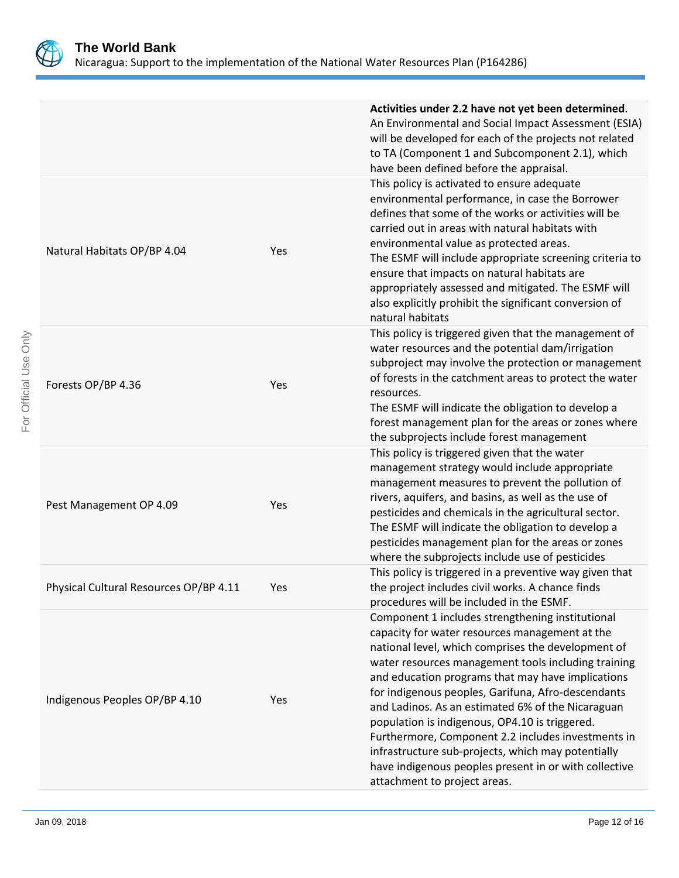

|                                        |     | Activities under 2.2 have not yet been determined.<br>An Environmental and Social Impact Assessment (ESIA)<br>will be developed for each of the projects not related<br>to TA (Component 1 and Subcomponent 2.1), which<br>have been defined before the appraisal.                                                                                                                                                                                                                                                                                                                                                                     |
|----------------------------------------|-----|----------------------------------------------------------------------------------------------------------------------------------------------------------------------------------------------------------------------------------------------------------------------------------------------------------------------------------------------------------------------------------------------------------------------------------------------------------------------------------------------------------------------------------------------------------------------------------------------------------------------------------------|
| Natural Habitats OP/BP 4.04            | Yes | This policy is activated to ensure adequate<br>environmental performance, in case the Borrower<br>defines that some of the works or activities will be<br>carried out in areas with natural habitats with<br>environmental value as protected areas.<br>The ESMF will include appropriate screening criteria to<br>ensure that impacts on natural habitats are<br>appropriately assessed and mitigated. The ESMF will<br>also explicitly prohibit the significant conversion of<br>natural habitats                                                                                                                                    |
| Forests OP/BP 4.36                     | Yes | This policy is triggered given that the management of<br>water resources and the potential dam/irrigation<br>subproject may involve the protection or management<br>of forests in the catchment areas to protect the water<br>resources.<br>The ESMF will indicate the obligation to develop a<br>forest management plan for the areas or zones where<br>the subprojects include forest management                                                                                                                                                                                                                                     |
| Pest Management OP 4.09                | Yes | This policy is triggered given that the water<br>management strategy would include appropriate<br>management measures to prevent the pollution of<br>rivers, aquifers, and basins, as well as the use of<br>pesticides and chemicals in the agricultural sector.<br>The ESMF will indicate the obligation to develop a<br>pesticides management plan for the areas or zones<br>where the subprojects include use of pesticides                                                                                                                                                                                                         |
| Physical Cultural Resources OP/BP 4.11 | Yes | This policy is triggered in a preventive way given that<br>the project includes civil works. A chance finds<br>procedures will be included in the ESMF.                                                                                                                                                                                                                                                                                                                                                                                                                                                                                |
| Indigenous Peoples OP/BP 4.10          | Yes | Component 1 includes strengthening institutional<br>capacity for water resources management at the<br>national level, which comprises the development of<br>water resources management tools including training<br>and education programs that may have implications<br>for indigenous peoples, Garifuna, Afro-descendants<br>and Ladinos. As an estimated 6% of the Nicaraguan<br>population is indigenous, OP4.10 is triggered.<br>Furthermore, Component 2.2 includes investments in<br>infrastructure sub-projects, which may potentially<br>have indigenous peoples present in or with collective<br>attachment to project areas. |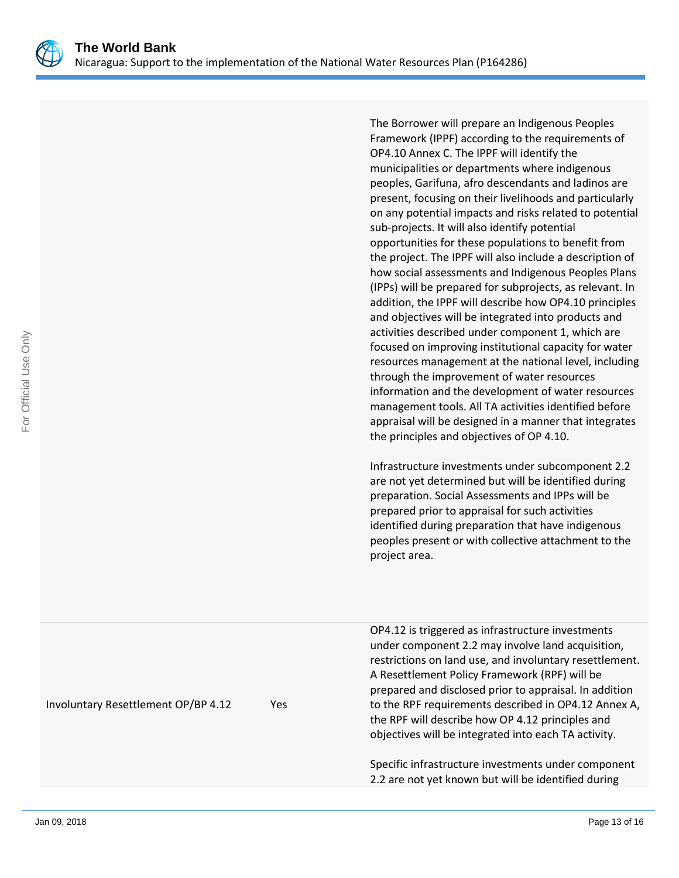

The Borrower will prepare an Indigenous Peoples Framework (IPPF) according to the requirements of OP4.10 Annex C. The IPPF will identify the municipalities or departments where indigenous peoples, Garifuna, afro descendants and ladinos are present, focusing on their livelihoods and particularly on any potential impacts and risks related to potential sub-projects. It will also identify potential opportunities for these populations to benefit from the project. The IPPF will also include a description of how social assessments and Indigenous Peoples Plans (IPPs) will be prepared for subprojects, as relevant. In addition, the IPPF will describe how OP4.10 principles and objectives will be integrated into products and activities described under component 1, which are focused on improving institutional capacity for water resources management at the national level, including through the improvement of water resources information and the development of water resources management tools. All TA activities identified before appraisal will be designed in a manner that integrates the principles and objectives of OP 4.10.

Infrastructure investments under subcomponent 2.2 are not yet determined but will be identified during preparation. Social Assessments and IPPs will be prepared prior to appraisal for such activities identified during preparation that have indigenous peoples present or with collective attachment to the project area.

Involuntary Resettlement OP/BP 4.12 Yes OP4.12 is triggered as infrastructure investments under component 2.2 may involve land acquisition, restrictions on land use, and involuntary resettlement. A Resettlement Policy Framework (RPF) will be prepared and disclosed prior to appraisal. In addition to the RPF requirements described in OP4.12 Annex A, the RPF will describe how OP 4.12 principles and objectives will be integrated into each TA activity. Specific infrastructure investments under component 2.2 are not yet known but will be identified during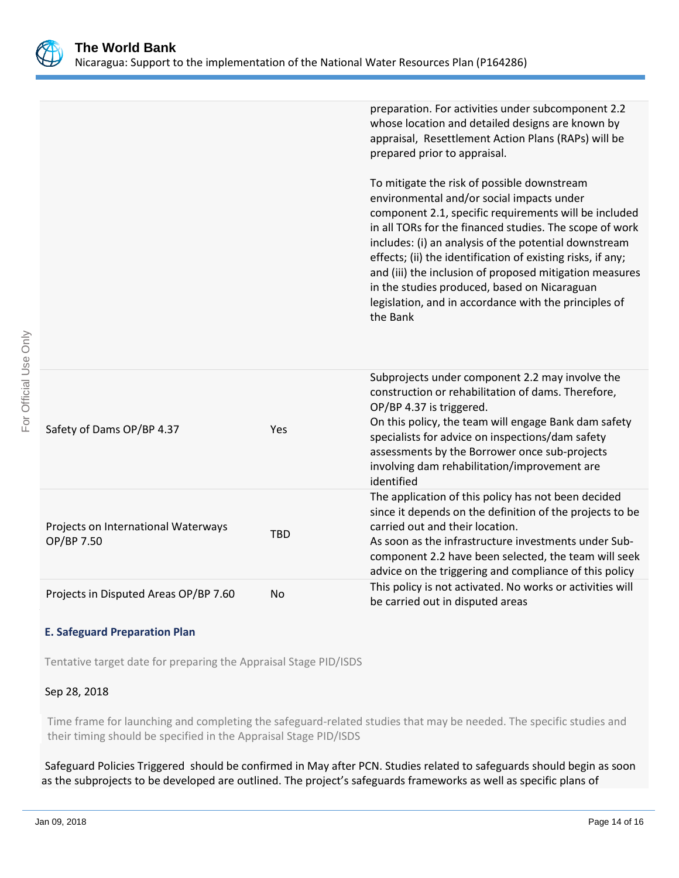

|                                                   |            | preparation. For activities under subcomponent 2.2<br>whose location and detailed designs are known by<br>appraisal, Resettlement Action Plans (RAPs) will be<br>prepared prior to appraisal.<br>To mitigate the risk of possible downstream<br>environmental and/or social impacts under<br>component 2.1, specific requirements will be included<br>in all TORs for the financed studies. The scope of work<br>includes: (i) an analysis of the potential downstream<br>effects; (ii) the identification of existing risks, if any;<br>and (iii) the inclusion of proposed mitigation measures<br>in the studies produced, based on Nicaraguan<br>legislation, and in accordance with the principles of<br>the Bank |
|---------------------------------------------------|------------|-----------------------------------------------------------------------------------------------------------------------------------------------------------------------------------------------------------------------------------------------------------------------------------------------------------------------------------------------------------------------------------------------------------------------------------------------------------------------------------------------------------------------------------------------------------------------------------------------------------------------------------------------------------------------------------------------------------------------|
| Safety of Dams OP/BP 4.37                         | Yes        | Subprojects under component 2.2 may involve the<br>construction or rehabilitation of dams. Therefore,<br>OP/BP 4.37 is triggered.<br>On this policy, the team will engage Bank dam safety<br>specialists for advice on inspections/dam safety<br>assessments by the Borrower once sub-projects<br>involving dam rehabilitation/improvement are<br>identified                                                                                                                                                                                                                                                                                                                                                          |
| Projects on International Waterways<br>OP/BP 7.50 | <b>TBD</b> | The application of this policy has not been decided<br>since it depends on the definition of the projects to be<br>carried out and their location.<br>As soon as the infrastructure investments under Sub-<br>component 2.2 have been selected, the team will seek<br>advice on the triggering and compliance of this policy                                                                                                                                                                                                                                                                                                                                                                                          |
| Projects in Disputed Areas OP/BP 7.60             | <b>No</b>  | This policy is not activated. No works or activities will<br>be carried out in disputed areas                                                                                                                                                                                                                                                                                                                                                                                                                                                                                                                                                                                                                         |

## **E. Safeguard Preparation Plan**

Tentative target date for preparing the Appraisal Stage PID/ISDS

#### Sep 28, 2018

Time frame for launching and completing the safeguard-related studies that may be needed. The specific studies and their timing should be specified in the Appraisal Stage PID/ISDS

Safeguard Policies Triggered should be confirmed in May after PCN. Studies related to safeguards should begin as soon as the subprojects to be developed are outlined. The project's safeguards frameworks as well as specific plans of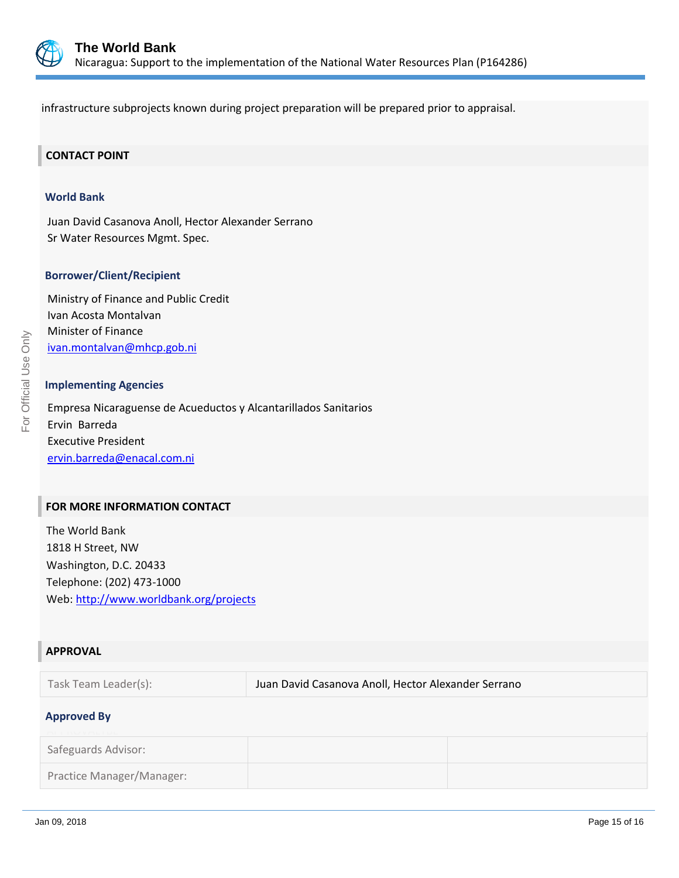

infrastructure subprojects known during project preparation will be prepared prior to appraisal.

# **CONTACT POINT**

## **World Bank**

Juan David Casanova Anoll, Hector Alexander Serrano Sr Water Resources Mgmt. Spec.

## **Borrower/Client/Recipient**

Ministry of Finance and Public Credit Ivan Acosta Montalvan Minister of Finance [ivan.montalvan@mhcp.gob.ni](mailto:ivan.montalvan@mhcp.gob.ni)

#### **Implementing Agencies**

Empresa Nicaraguense de Acueductos y Alcantarillados Sanitarios Ervin Barreda Executive President [ervin.barreda@enacal.com.ni](mailto:ervin.barreda@enacal.com.ni)

# **FOR MORE INFORMATION CONTACT**

The World Bank 1818 H Street, NW Washington, D.C. 20433 Telephone: (202) 473-1000 Web:<http://www.worldbank.org/projects>

## **APPROVAL**

| Task Team Leader(s):      | Juan David Casanova Anoll, Hector Alexander Serrano |  |
|---------------------------|-----------------------------------------------------|--|
| <b>Approved By</b>        |                                                     |  |
| Safeguards Advisor:       |                                                     |  |
| Practice Manager/Manager: |                                                     |  |